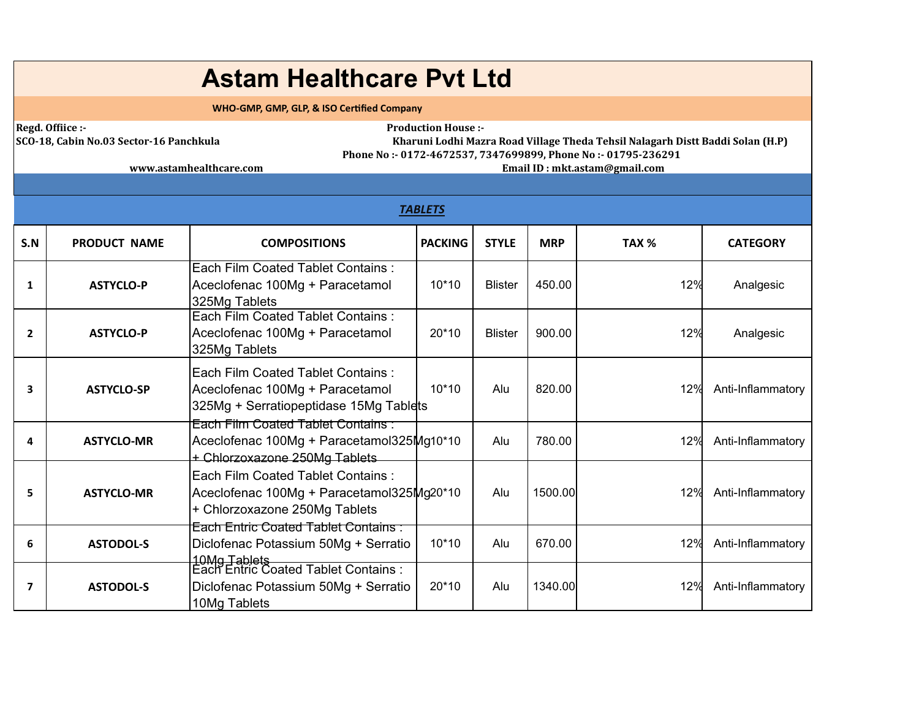## **Astam Healthcare Pvt Ltd**

 **WHO-GMP, GMP, GLP, & ISO Cerfied Company**

**Regd. Ofiice :- Production House :-** 

|SCO-18, Cabin No.03 Sector-16 Panchkula Kharuni Lodhi Mazra Road Village Theda Tehsil Nalagarh Distt Baddi Solan (H.P) Phone No:- 0172-4672537, 7347699899, Phone No:- 01795-236291

www.astamhealthcare.com and the state of the state of the state of the state of the state of the state of the state of the state of the state of the state of the state of the state of the state of the state of the state of

|                | <b>TABLETS</b>      |                                                                                                                        |                |                |            |                  |                   |  |  |  |
|----------------|---------------------|------------------------------------------------------------------------------------------------------------------------|----------------|----------------|------------|------------------|-------------------|--|--|--|
| S.N            | <b>PRODUCT NAME</b> | <b>COMPOSITIONS</b>                                                                                                    | <b>PACKING</b> | <b>STYLE</b>   | <b>MRP</b> | TAX <sub>%</sub> | <b>CATEGORY</b>   |  |  |  |
| 1              | <b>ASTYCLO-P</b>    | Each Film Coated Tablet Contains:<br>Aceclofenac 100Mg + Paracetamol<br>325Mg Tablets                                  | $10*10$        | <b>Blister</b> | 450.00     | 12%              | Analgesic         |  |  |  |
| $\overline{2}$ | <b>ASTYCLO-P</b>    | Each Film Coated Tablet Contains:<br>Aceclofenac 100Mg + Paracetamol<br>325Mg Tablets                                  | $20*10$        | <b>Blister</b> | 900.00     | 12%              | Analgesic         |  |  |  |
| 3              | <b>ASTYCLO-SP</b>   | Each Film Coated Tablet Contains:<br>Aceclofenac 100Mg + Paracetamol<br>325Mg + Serratiopeptidase 15Mg Tablets         | $10*10$        | Alu            | 820.00     | 12%              | Anti-Inflammatory |  |  |  |
| 4              | <b>ASTYCLO-MR</b>   | Each Film Coated Tablet Contains:<br>Aceclofenac 100Mg + Paracetamol325Mg10*10<br>+ Chlorzoxazone 250Mg Tablets        |                | Alu            | 780.00     | 12%              | Anti-Inflammatory |  |  |  |
| 5              | <b>ASTYCLO-MR</b>   | <b>Each Film Coated Tablet Contains:</b><br>Aceclofenac 100Mg + Paracetamol325Mg20*10<br>+ Chlorzoxazone 250Mg Tablets |                | Alu            | 1500.00    | 12%              | Anti-Inflammatory |  |  |  |
| 6              | <b>ASTODOL-S</b>    | <b>Each Entric Coated Tablet Contains:</b><br>Diclofenac Potassium 50Mg + Serratio                                     | $10*10$        | Alu            | 670.00     | 12%              | Anti-Inflammatory |  |  |  |
| 7              | <b>ASTODOL-S</b>    | 10Mg Tablets<br>Each Entric Coated Tablet Contains :<br>Diclofenac Potassium 50Mg + Serratio<br>10Mg Tablets           | $20*10$        | Alu            | 1340.00    | 12%              | Anti-Inflammatory |  |  |  |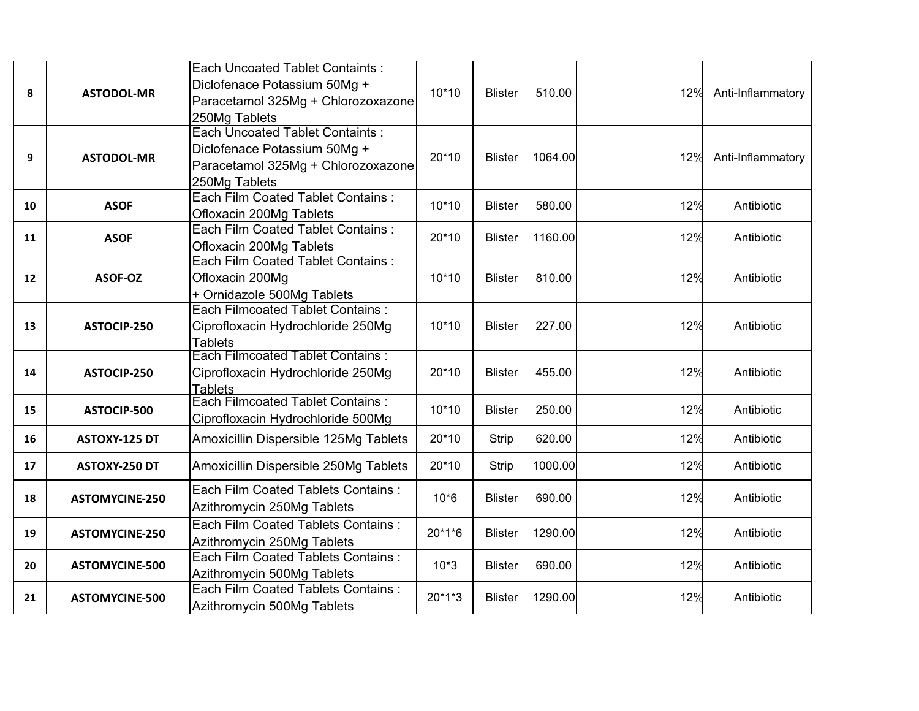| 8  | <b>ASTODOL-MR</b>     | Each Uncoated Tablet Containts:<br>Diclofenace Potassium 50Mg +<br>Paracetamol 325Mg + Chlorozoxazone<br>250Mg Tablets        | $10*10$ | <b>Blister</b> | 510.00  | 12% | Anti-Inflammatory |
|----|-----------------------|-------------------------------------------------------------------------------------------------------------------------------|---------|----------------|---------|-----|-------------------|
| 9  | <b>ASTODOL-MR</b>     | <b>Each Uncoated Tablet Containts:</b><br>Diclofenace Potassium 50Mg +<br>Paracetamol 325Mg + Chlorozoxazone<br>250Mg Tablets | 20*10   | <b>Blister</b> | 1064.00 | 12% | Anti-Inflammatory |
| 10 | <b>ASOF</b>           | Each Film Coated Tablet Contains:<br>Ofloxacin 200Mg Tablets                                                                  | $10*10$ | <b>Blister</b> | 580.00  | 12% | Antibiotic        |
| 11 | <b>ASOF</b>           | Each Film Coated Tablet Contains :<br>Ofloxacin 200Mg Tablets                                                                 | 20*10   | <b>Blister</b> | 1160.00 | 12% | Antibiotic        |
| 12 | ASOF-OZ               | Each Film Coated Tablet Contains:<br>Ofloxacin 200Mg<br>+ Ornidazole 500Mg Tablets                                            | $10*10$ | <b>Blister</b> | 810.00  | 12% | Antibiotic        |
| 13 | ASTOCIP-250           | Each Filmcoated Tablet Contains:<br>Ciprofloxacin Hydrochloride 250Mg<br><b>Tablets</b>                                       | $10*10$ | <b>Blister</b> | 227.00  | 12% | Antibiotic        |
| 14 | ASTOCIP-250           | <b>Each Filmcoated Tablet Contains:</b><br>Ciprofloxacin Hydrochloride 250Mg<br>Tablets                                       | 20*10   | <b>Blister</b> | 455.00  | 12% | Antibiotic        |
| 15 | ASTOCIP-500           | <b>Each Filmcoated Tablet Contains:</b><br>Ciprofloxacin Hydrochloride 500Mg                                                  | $10*10$ | <b>Blister</b> | 250.00  | 12% | Antibiotic        |
| 16 | ASTOXY-125 DT         | Amoxicillin Dispersible 125Mg Tablets                                                                                         | 20*10   | <b>Strip</b>   | 620.00  | 12% | Antibiotic        |
| 17 | ASTOXY-250 DT         | Amoxicillin Dispersible 250Mg Tablets                                                                                         | 20*10   | <b>Strip</b>   | 1000.00 | 12% | Antibiotic        |
| 18 | <b>ASTOMYCINE-250</b> | Each Film Coated Tablets Contains:<br>Azithromycin 250Mg Tablets                                                              | $10*6$  | <b>Blister</b> | 690.00  | 12% | Antibiotic        |
| 19 | <b>ASTOMYCINE-250</b> | Each Film Coated Tablets Contains :<br>Azithromycin 250Mg Tablets                                                             | 20*1*6  | <b>Blister</b> | 1290.00 | 12% | Antibiotic        |
| 20 | <b>ASTOMYCINE-500</b> | Each Film Coated Tablets Contains :<br>Azithromycin 500Mg Tablets                                                             | $10*3$  | <b>Blister</b> | 690.00  | 12% | Antibiotic        |
| 21 | <b>ASTOMYCINE-500</b> | Each Film Coated Tablets Contains :<br>Azithromycin 500Mg Tablets                                                             | 20*1*3  | <b>Blister</b> | 1290.00 | 12% | Antibiotic        |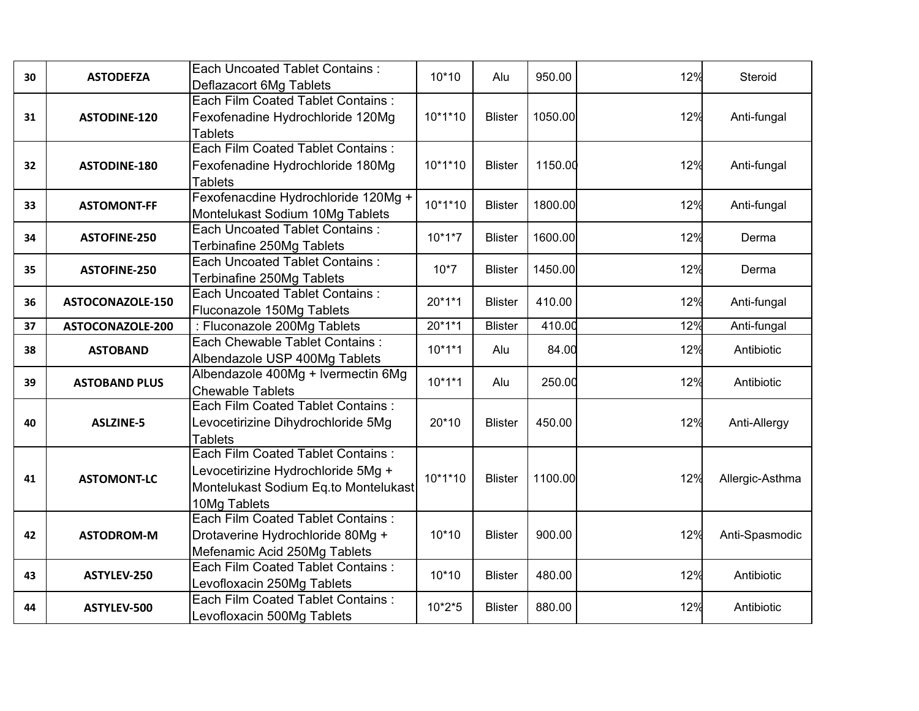| 30 | <b>ASTODEFZA</b>     | <b>Each Uncoated Tablet Contains:</b><br>Deflazacort 6Mg Tablets                                                                | $10*10$   | Alu            | 950.00  | 12% | Steroid         |
|----|----------------------|---------------------------------------------------------------------------------------------------------------------------------|-----------|----------------|---------|-----|-----------------|
| 31 | <b>ASTODINE-120</b>  | Each Film Coated Tablet Contains:<br>Fexofenadine Hydrochloride 120Mg<br><b>Tablets</b>                                         | $10*1*10$ | <b>Blister</b> | 1050.00 | 12% | Anti-fungal     |
| 32 | <b>ASTODINE-180</b>  | Each Film Coated Tablet Contains:<br>Fexofenadine Hydrochloride 180Mg<br><b>Tablets</b>                                         | 10*1*10   | <b>Blister</b> | 1150.00 | 12% | Anti-fungal     |
| 33 | <b>ASTOMONT-FF</b>   | Fexofenacdine Hydrochloride 120Mg +<br>Montelukast Sodium 10Mg Tablets                                                          | $10*1*10$ | <b>Blister</b> | 1800.00 | 12% | Anti-fungal     |
| 34 | <b>ASTOFINE-250</b>  | <b>Each Uncoated Tablet Contains:</b><br>Terbinafine 250Mg Tablets                                                              | $10*1*7$  | <b>Blister</b> | 1600.00 | 12% | Derma           |
| 35 | <b>ASTOFINE-250</b>  | <b>Each Uncoated Tablet Contains:</b><br>Terbinafine 250Mg Tablets                                                              | $10*7$    | <b>Blister</b> | 1450.00 | 12% | Derma           |
| 36 | ASTOCONAZOLE-150     | <b>Each Uncoated Tablet Contains:</b><br>Fluconazole 150Mg Tablets                                                              | 20*1*1    | <b>Blister</b> | 410.00  | 12% | Anti-fungal     |
| 37 | ASTOCONAZOLE-200     | : Fluconazole 200Mg Tablets                                                                                                     | 20*1*1    | <b>Blister</b> | 410.00  | 12% | Anti-fungal     |
| 38 | <b>ASTOBAND</b>      | Each Chewable Tablet Contains :<br>Albendazole USP 400Mg Tablets                                                                | $10*1*1$  | Alu            | 84.00   | 12% | Antibiotic      |
| 39 | <b>ASTOBAND PLUS</b> | Albendazole 400Mg + Ivermectin 6Mg<br><b>Chewable Tablets</b>                                                                   | $10*1*1$  | Alu            | 250.00  | 12% | Antibiotic      |
| 40 | <b>ASLZINE-5</b>     | Each Film Coated Tablet Contains:<br>Levocetirizine Dihydrochloride 5Mg<br><b>Tablets</b>                                       | 20*10     | <b>Blister</b> | 450.00  | 12% | Anti-Allergy    |
| 41 | <b>ASTOMONT-LC</b>   | Each Film Coated Tablet Contains:<br>Levocetirizine Hydrochloride 5Mg +<br>Montelukast Sodium Eq.to Montelukast<br>10Mg Tablets | $10*1*10$ | <b>Blister</b> | 1100.00 | 12% | Allergic-Asthma |
| 42 | <b>ASTODROM-M</b>    | Each Film Coated Tablet Contains:<br>Drotaverine Hydrochloride 80Mg +<br>Mefenamic Acid 250Mg Tablets                           | $10*10$   | <b>Blister</b> | 900.00  | 12% | Anti-Spasmodic  |
| 43 | ASTYLEV-250          | Each Film Coated Tablet Contains:<br>Levofloxacin 250Mg Tablets                                                                 | $10*10$   | <b>Blister</b> | 480.00  | 12% | Antibiotic      |
| 44 | ASTYLEV-500          | Each Film Coated Tablet Contains:<br>Levofloxacin 500Mg Tablets                                                                 | $10*2*5$  | <b>Blister</b> | 880.00  | 12% | Antibiotic      |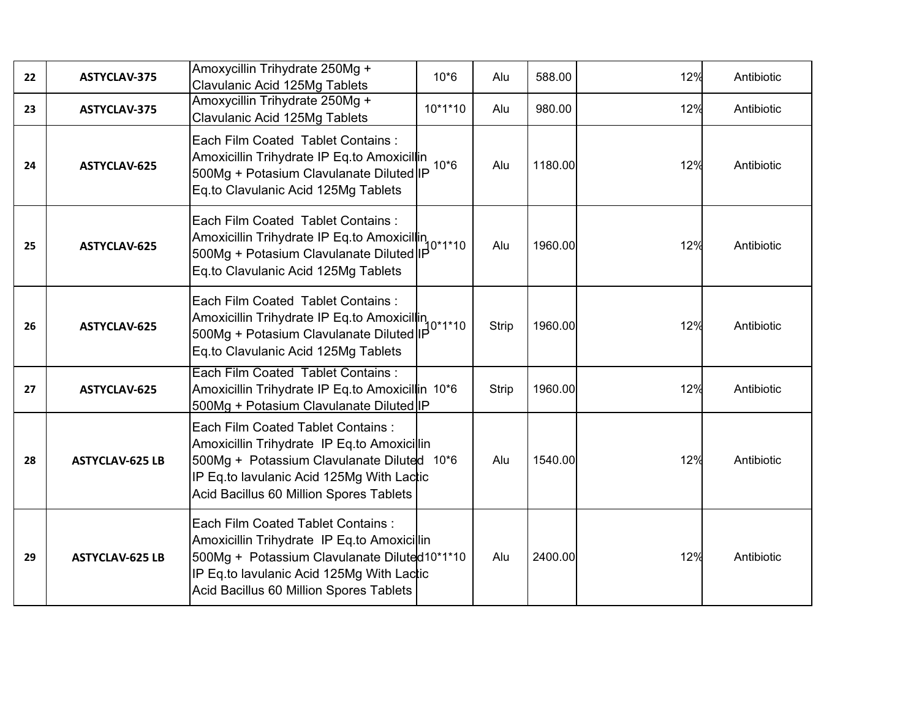| 22 | ASTYCLAV-375           | Amoxycillin Trihydrate 250Mg +<br>Clavulanic Acid 125Mg Tablets                                                                                                                                                          | $10*6$    | Alu   | 588.00  | 12% | Antibiotic |
|----|------------------------|--------------------------------------------------------------------------------------------------------------------------------------------------------------------------------------------------------------------------|-----------|-------|---------|-----|------------|
| 23 | ASTYCLAV-375           | Amoxycillin Trihydrate 250Mg +<br>Clavulanic Acid 125Mg Tablets                                                                                                                                                          | $10*1*10$ | Alu   | 980.00  | 12% | Antibiotic |
| 24 | ASTYCLAV-625           | Each Film Coated Tablet Contains :<br>Amoxicillin Trihydrate IP Eq.to Amoxicillin<br>500Mg + Potasium Clavulanate Diluted IP<br>Eq.to Clavulanic Acid 125Mg Tablets                                                      | $10*6$    | Alu   | 1180.00 | 12% | Antibiotic |
| 25 | ASTYCLAV-625           | Each Film Coated Tablet Contains:<br>Amoxicillin Trihydrate IP Eq.to Amoxicillin<br>500Mg + Potasium Clavulanate Diluted IP 0*1*10<br>Eq.to Clavulanic Acid 125Mg Tablets                                                |           | Alu   | 1960.00 | 12% | Antibiotic |
| 26 | ASTYCLAV-625           | Each Film Coated Tablet Contains:<br>Amoxicillin Trihydrate IP Eq.to Amoxicillin<br>Amoxicillin Trihydrate IP Eq.to Amoxicillin<br>500Mg + Potasium Clavulanate Diluted IP<br>Eq.to Clavulanic Acid 125Mg Tablets        |           | Strip | 1960.00 | 12% | Antibiotic |
| 27 | ASTYCLAV-625           | Each Film Coated Tablet Contains:<br>Amoxicillin Trihydrate IP Eq.to Amoxicillin 10*6<br>500Mg + Potasium Clavulanate Diluted IP                                                                                         |           | Strip | 1960.00 | 12% | Antibiotic |
| 28 | <b>ASTYCLAV-625 LB</b> | Each Film Coated Tablet Contains:<br>Amoxicillin Trihydrate IP Eq.to Amoxicillin<br>500Mg + Potassium Clavulanate Diluted 10*6<br>IP Eq. to lavulanic Acid 125Mg With Lactic<br>Acid Bacillus 60 Million Spores Tablets  |           | Alu   | 1540.00 | 12% | Antibiotic |
| 29 | <b>ASTYCLAV-625 LB</b> | Each Film Coated Tablet Contains:<br>Amoxicillin Trihydrate IP Eq.to Amoxicillin<br>500Mg + Potassium Clavulanate Diluted10*1*10<br>IP Eq.to lavulanic Acid 125Mg With Lactic<br>Acid Bacillus 60 Million Spores Tablets |           | Alu   | 2400.00 | 12% | Antibiotic |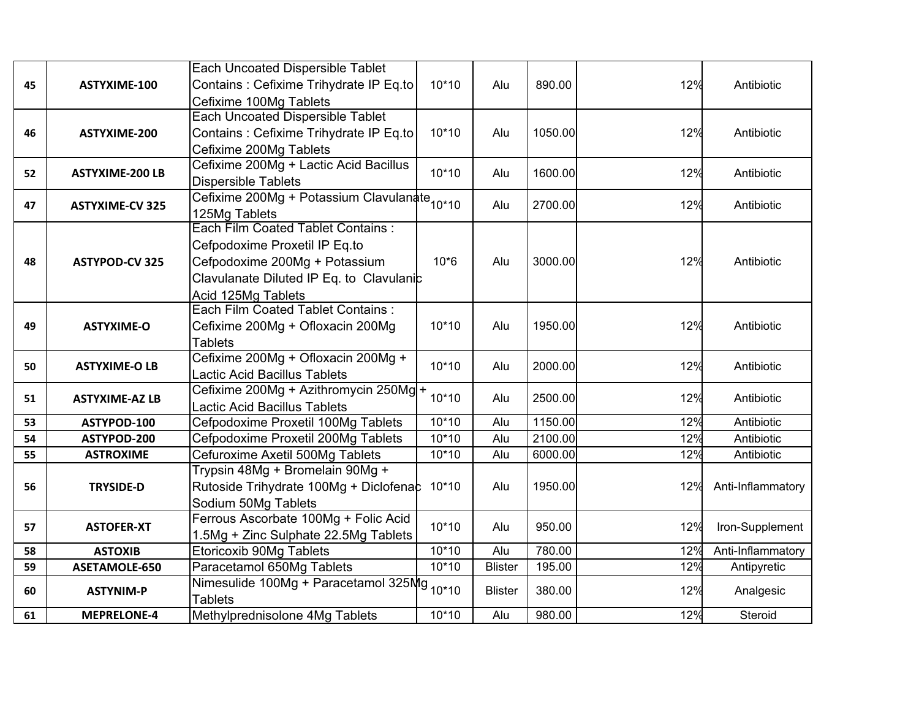| 45 | ASTYXIME-100           | Each Uncoated Dispersible Tablet<br>Contains : Cefixime Trihydrate IP Eq.to<br>Cefixime 100Mg Tablets                                                                        | $10*10$ | Alu            | 890.00  | 12% | Antibiotic        |
|----|------------------------|------------------------------------------------------------------------------------------------------------------------------------------------------------------------------|---------|----------------|---------|-----|-------------------|
| 46 | ASTYXIME-200           | <b>Each Uncoated Dispersible Tablet</b><br>Contains : Cefixime Trihydrate IP Eq.to<br>Cefixime 200Mg Tablets                                                                 | $10*10$ | Alu            | 1050.00 | 12% | Antibiotic        |
| 52 | <b>ASTYXIME-200 LB</b> | Cefixime 200Mg + Lactic Acid Bacillus<br><b>Dispersible Tablets</b>                                                                                                          | $10*10$ | Alu            | 1600.00 | 12% | Antibiotic        |
| 47 | <b>ASTYXIME-CV 325</b> | Cefixime 200Mg + Potassium Clavulanate <sub>10*10</sub><br>125Mg Tablets                                                                                                     |         | Alu            | 2700.00 | 12% | Antibiotic        |
| 48 | <b>ASTYPOD-CV 325</b>  | <b>Each Film Coated Tablet Contains:</b><br>Cefpodoxime Proxetil IP Eq.to<br>Cefpodoxime 200Mg + Potassium<br>Clavulanate Diluted IP Eq. to Clavulanic<br>Acid 125Mg Tablets | $10*6$  | Alu            | 3000.00 | 12% | Antibiotic        |
| 49 | <b>ASTYXIME-O</b>      | <b>Each Film Coated Tablet Contains:</b><br>Cefixime 200Mg + Ofloxacin 200Mg<br><b>Tablets</b>                                                                               | $10*10$ | Alu            | 1950.00 | 12% | Antibiotic        |
| 50 | <b>ASTYXIME-O LB</b>   | Cefixime 200Mg + Ofloxacin 200Mg +<br>Lactic Acid Bacillus Tablets                                                                                                           | $10*10$ | Alu            | 2000.00 | 12% | Antibiotic        |
| 51 | <b>ASTYXIME-AZ LB</b>  | Cefixime 200Mg + Azithromycin 250Mg +<br>Lactic Acid Bacillus Tablets                                                                                                        | $10*10$ | Alu            | 2500.00 | 12% | Antibiotic        |
| 53 | ASTYPOD-100            | Cefpodoxime Proxetil 100Mg Tablets                                                                                                                                           | $10*10$ | Alu            | 1150.00 | 12% | Antibiotic        |
| 54 | ASTYPOD-200            | Cefpodoxime Proxetil 200Mg Tablets                                                                                                                                           | $10*10$ | Alu            | 2100.00 | 12% | Antibiotic        |
| 55 | <b>ASTROXIME</b>       | Cefuroxime Axetil 500Mg Tablets                                                                                                                                              | $10*10$ | Alu            | 6000.00 | 12% | Antibiotic        |
| 56 | <b>TRYSIDE-D</b>       | Trypsin 48Mg + Bromelain 90Mg +<br>Rutoside Trihydrate 100Mg + Diclofenac<br>Sodium 50Mg Tablets                                                                             | $10*10$ | Alu            | 1950.00 | 12% | Anti-Inflammatory |
| 57 | <b>ASTOFER-XT</b>      | Ferrous Ascorbate 100Mg + Folic Acid<br>1.5Mg + Zinc Sulphate 22.5Mg Tablets                                                                                                 | $10*10$ | Alu            | 950.00  | 12% | Iron-Supplement   |
| 58 | <b>ASTOXIB</b>         | Etoricoxib 90Mg Tablets                                                                                                                                                      | $10*10$ | Alu            | 780.00  | 12% | Anti-Inflammatory |
| 59 | ASETAMOLE-650          | Paracetamol 650Mg Tablets                                                                                                                                                    | $10*10$ | <b>Blister</b> | 195.00  | 12% | Antipyretic       |
| 60 | <b>ASTYNIM-P</b>       | Nimesulide 100Mg + Paracetamol 325Mg 10*10<br><b>Tablets</b>                                                                                                                 |         | <b>Blister</b> | 380.00  | 12% | Analgesic         |
| 61 | <b>MEPRELONE-4</b>     | Methylprednisolone 4Mg Tablets                                                                                                                                               | $10*10$ | Alu            | 980.00  | 12% | Steroid           |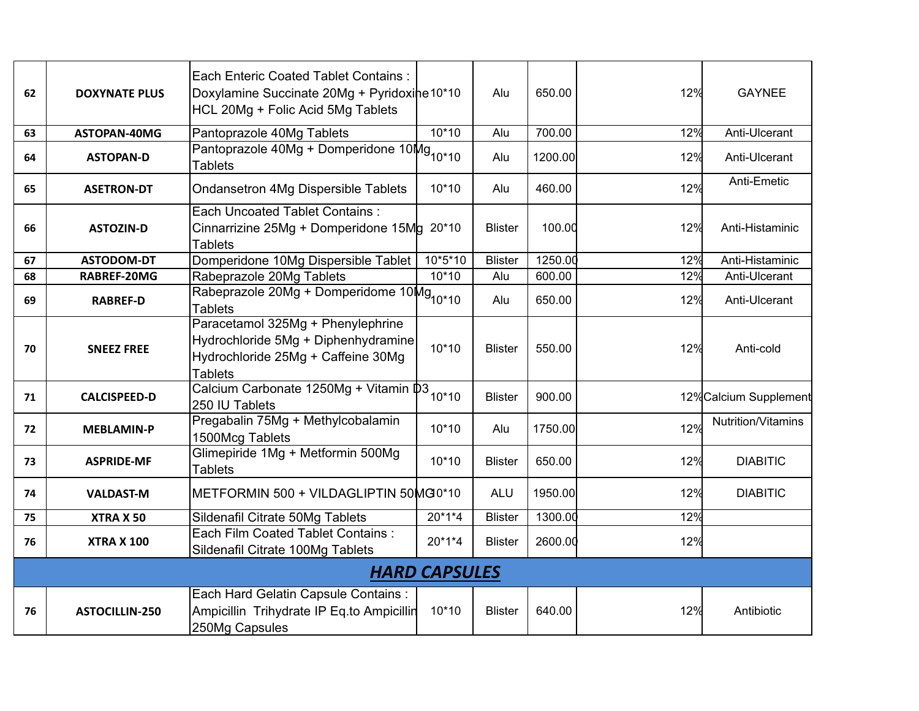| 62 | <b>DOXYNATE PLUS</b>  | <b>Each Enteric Coated Tablet Contains:</b><br>Doxylamine Succinate 20Mg + Pyridoxine 10*10<br>HCL 20Mg + Folic Acid 5Mg Tablets |                      | Alu            | 650.00  | 12% | <b>GAYNEE</b>          |
|----|-----------------------|----------------------------------------------------------------------------------------------------------------------------------|----------------------|----------------|---------|-----|------------------------|
| 63 | ASTOPAN-40MG          | Pantoprazole 40Mg Tablets                                                                                                        | $10*10$              | Alu            | 700.00  | 12% | Anti-Ulcerant          |
| 64 | <b>ASTOPAN-D</b>      | Pantoprazole 40Mg + Domperidone 10Mg <sub>10*10</sub><br><b>Tablets</b>                                                          |                      | Alu            | 1200.00 | 12% | Anti-Ulcerant          |
| 65 | <b>ASETRON-DT</b>     | <b>Ondansetron 4Mg Dispersible Tablets</b>                                                                                       | $10*10$              | Alu            | 460.00  | 12% | Anti-Emetic            |
| 66 | <b>ASTOZIN-D</b>      | <b>Each Uncoated Tablet Contains:</b><br>Cinnarrizine 25Mg + Domperidone 15Mg 20*10<br><b>Tablets</b>                            |                      | <b>Blister</b> | 100.00  | 12% | Anti-Histaminic        |
| 67 | <b>ASTODOM-DT</b>     | Domperidone 10Mg Dispersible Tablet                                                                                              | 10*5*10              | <b>Blister</b> | 1250.00 | 12% | Anti-Histaminic        |
| 68 | RABREF-20MG           | Rabeprazole 20Mg Tablets                                                                                                         | $10*10$              | Alu            | 600.00  | 12% | Anti-Ulcerant          |
| 69 | <b>RABREF-D</b>       | Rabeprazole 20Mg + Domperidome 10Mg <sub>10*10</sub><br><b>Tablets</b>                                                           |                      | Alu            | 650.00  | 12% | Anti-Ulcerant          |
| 70 | <b>SNEEZ FREE</b>     | Paracetamol 325Mg + Phenylephrine<br>Hydrochloride 5Mg + Diphenhydramine<br>Hydrochloride 25Mg + Caffeine 30Mg<br><b>Tablets</b> | $10*10$              | <b>Blister</b> | 550.00  | 12% | Anti-cold              |
| 71 | <b>CALCISPEED-D</b>   | Calcium Carbonate 1250Mg + Vitamin $\frac{m}{10^{*10}}$<br>250 IU Tablets                                                        |                      | <b>Blister</b> | 900.00  |     | 12% Calcium Supplement |
| 72 | <b>MEBLAMIN-P</b>     | Pregabalin 75Mg + Methylcobalamin<br>1500Mcg Tablets                                                                             | $10*10$              | Alu            | 1750.00 | 12% | Nutrition/Vitamins     |
| 73 | <b>ASPRIDE-MF</b>     | Glimepiride 1Mg + Metformin 500Mg<br><b>Tablets</b>                                                                              | $10*10$              | <b>Blister</b> | 650.00  | 12% | <b>DIABITIC</b>        |
| 74 | <b>VALDAST-M</b>      | METFORMIN 500 + VILDAGLIPTIN 50MG0*10                                                                                            |                      | <b>ALU</b>     | 1950.00 | 12% | <b>DIABITIC</b>        |
| 75 | <b>XTRA X 50</b>      | Sildenafil Citrate 50Mg Tablets                                                                                                  | 20*1*4               | <b>Blister</b> | 1300.00 | 12% |                        |
| 76 | <b>XTRA X 100</b>     | Each Film Coated Tablet Contains:<br>Sildenafil Citrate 100Mg Tablets                                                            | 20*1*4               | <b>Blister</b> | 2600.00 | 12% |                        |
|    |                       |                                                                                                                                  | <b>HARD CAPSULES</b> |                |         |     |                        |
| 76 | <b>ASTOCILLIN-250</b> | Each Hard Gelatin Capsule Contains :<br>Ampicillin Trihydrate IP Eq.to Ampicillin<br>250Mg Capsules                              | 10*10                | <b>Blister</b> | 640.00  | 12% | Antibiotic             |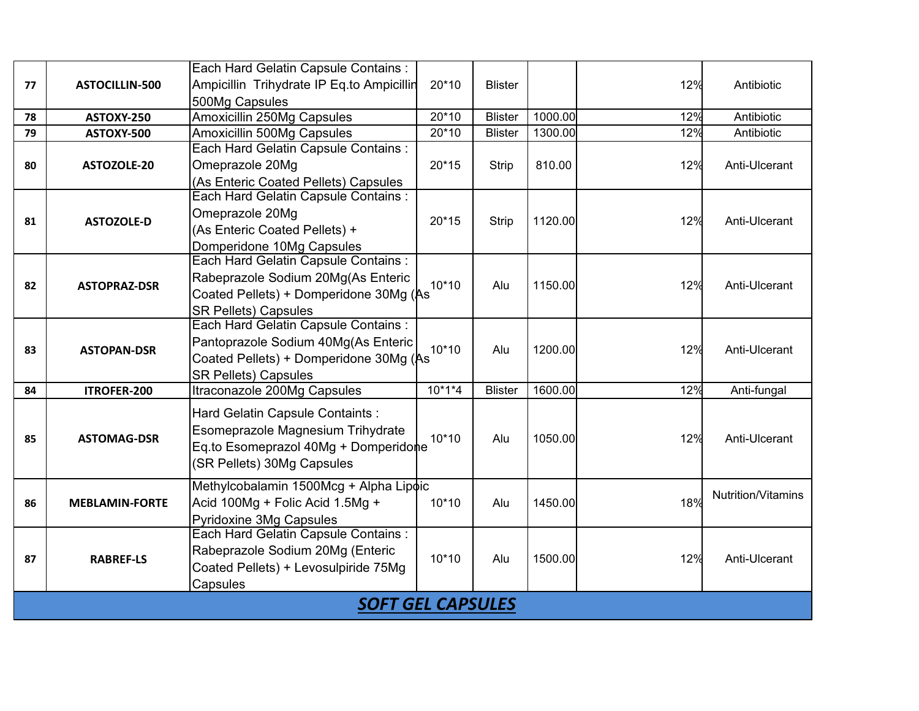|    |                          | Each Hard Gelatin Capsule Contains:       |          |                |         |     |                    |  |  |  |  |
|----|--------------------------|-------------------------------------------|----------|----------------|---------|-----|--------------------|--|--|--|--|
| 77 | ASTOCILLIN-500           | Ampicillin Trihydrate IP Eq.to Ampicillin | 20*10    | <b>Blister</b> |         | 12% | Antibiotic         |  |  |  |  |
|    |                          | 500Mg Capsules                            |          |                |         |     |                    |  |  |  |  |
| 78 | ASTOXY-250               | <b>Amoxicillin 250Mg Capsules</b>         | $20*10$  | <b>Blister</b> | 1000.00 | 12% | Antibiotic         |  |  |  |  |
| 79 | ASTOXY-500               | Amoxicillin 500Mg Capsules                | 20*10    | <b>Blister</b> | 1300.00 | 12% | Antibiotic         |  |  |  |  |
|    |                          | Each Hard Gelatin Capsule Contains:       |          |                |         |     |                    |  |  |  |  |
| 80 | ASTOZOLE-20              | Omeprazole 20Mg                           | $20*15$  | Strip          | 810.00  | 12% | Anti-Ulcerant      |  |  |  |  |
|    |                          | (As Enteric Coated Pellets) Capsules      |          |                |         |     |                    |  |  |  |  |
|    |                          | Each Hard Gelatin Capsule Contains:       |          |                |         |     |                    |  |  |  |  |
| 81 | <b>ASTOZOLE-D</b>        | Omeprazole 20Mg                           | $20*15$  | Strip          | 1120.00 | 12% | Anti-Ulcerant      |  |  |  |  |
|    |                          | (As Enteric Coated Pellets) +             |          |                |         |     |                    |  |  |  |  |
|    |                          | Domperidone 10Mg Capsules                 |          |                |         |     |                    |  |  |  |  |
|    |                          | Each Hard Gelatin Capsule Contains:       |          |                |         |     |                    |  |  |  |  |
| 82 | <b>ASTOPRAZ-DSR</b>      | Rabeprazole Sodium 20Mg(As Enteric        | $10*10$  | Alu            | 1150.00 | 12% | Anti-Ulcerant      |  |  |  |  |
|    |                          | Coated Pellets) + Domperidone 30Mg (As    |          |                |         |     |                    |  |  |  |  |
|    |                          | <b>SR Pellets) Capsules</b>               |          |                |         |     |                    |  |  |  |  |
|    |                          | Each Hard Gelatin Capsule Contains :      |          |                |         |     |                    |  |  |  |  |
| 83 | <b>ASTOPAN-DSR</b>       | Pantoprazole Sodium 40Mg(As Enteric       | $10*10$  | Alu            | 1200.00 | 12% | Anti-Ulcerant      |  |  |  |  |
|    |                          | Coated Pellets) + Domperidone 30Mg (As    |          |                |         |     |                    |  |  |  |  |
|    |                          | <b>SR Pellets) Capsules</b>               |          |                |         |     |                    |  |  |  |  |
| 84 | ITROFER-200              | Itraconazole 200Mg Capsules               | $10*1*4$ | <b>Blister</b> | 1600.00 | 12% | Anti-fungal        |  |  |  |  |
|    |                          | Hard Gelatin Capsule Containts:           |          |                |         |     |                    |  |  |  |  |
|    |                          | Esomeprazole Magnesium Trihydrate         |          |                |         |     |                    |  |  |  |  |
| 85 | <b>ASTOMAG-DSR</b>       | Eq.to Esomeprazol 40Mg + Domperidone      | $10*10$  | Alu            | 1050.00 | 12% | Anti-Ulcerant      |  |  |  |  |
|    |                          | (SR Pellets) 30Mg Capsules                |          |                |         |     |                    |  |  |  |  |
|    |                          |                                           |          |                |         |     |                    |  |  |  |  |
|    |                          | Methylcobalamin 1500Mcg + Alpha Lipoic    |          |                |         | 18% | Nutrition/Vitamins |  |  |  |  |
| 86 | <b>MEBLAMIN-FORTE</b>    | Acid 100Mg + Folic Acid 1.5Mg +           | 10*10    | Alu            | 1450.00 |     |                    |  |  |  |  |
|    |                          | Pyridoxine 3Mg Capsules                   |          |                |         |     |                    |  |  |  |  |
|    |                          | Each Hard Gelatin Capsule Contains:       |          |                |         |     |                    |  |  |  |  |
| 87 | <b>RABREF-LS</b>         | Rabeprazole Sodium 20Mg (Enteric          | $10*10$  | Alu            | 1500.00 | 12% | Anti-Ulcerant      |  |  |  |  |
|    |                          | Coated Pellets) + Levosulpiride 75Mg      |          |                |         |     |                    |  |  |  |  |
|    |                          | Capsules                                  |          |                |         |     |                    |  |  |  |  |
|    | <b>SOFT GEL CAPSULES</b> |                                           |          |                |         |     |                    |  |  |  |  |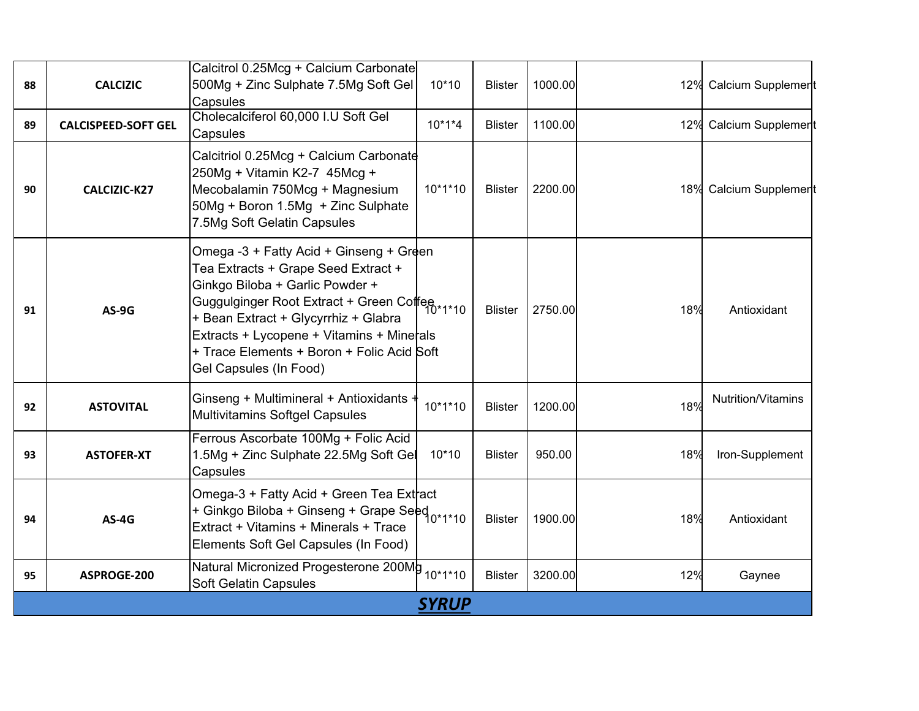| 88 | <b>CALCIZIC</b>            | Calcitrol 0.25Mcg + Calcium Carbonate<br>500Mg + Zinc Sulphate 7.5Mg Soft Gel<br>Capsules                                                                                                                                                                                                                                                                              | 10*10        | <b>Blister</b> | 1000.00 |     | 12% Calcium Supplement |
|----|----------------------------|------------------------------------------------------------------------------------------------------------------------------------------------------------------------------------------------------------------------------------------------------------------------------------------------------------------------------------------------------------------------|--------------|----------------|---------|-----|------------------------|
| 89 | <b>CALCISPEED-SOFT GEL</b> | Cholecalciferol 60,000 I.U Soft Gel<br>Capsules                                                                                                                                                                                                                                                                                                                        | $10*1*4$     | <b>Blister</b> | 1100.00 | 12% | Calcium Supplement     |
| 90 | CALCIZIC-K27               | Calcitriol 0.25Mcg + Calcium Carbonate<br>250Mg + Vitamin K2-7 45Mcg +<br>Mecobalamin 750Mcg + Magnesium<br>50Mg + Boron 1.5Mg + Zinc Sulphate<br>7.5Mg Soft Gelatin Capsules                                                                                                                                                                                          | $10*1*10$    | <b>Blister</b> | 2200.00 |     | 18% Calcium Supplement |
| 91 | AS-9G                      | Omega -3 + Fatty Acid + Ginseng + Green<br>Tea Extracts + Grape Seed Extract +<br>Ginkgo Biloba + Garlic Powder +<br>Guggulginger Root Extract + Green Coffee<br>Guggulginger Root Extract + Green Coffee<br>+ Bean Extract + Glycyrrhiz + Glabra<br>Extracts + Lycopene + Vitamins + Minerals<br>+ Trace Elements + Boron + Folic Acid Soft<br>Gel Capsules (In Food) |              | <b>Blister</b> | 2750.00 | 18% | Antioxidant            |
| 92 | <b>ASTOVITAL</b>           | Ginseng + Multimineral + Antioxidants<br><b>Multivitamins Softgel Capsules</b>                                                                                                                                                                                                                                                                                         | $10*1*10$    | <b>Blister</b> | 1200.00 | 18% | Nutrition/Vitamins     |
| 93 | <b>ASTOFER-XT</b>          | Ferrous Ascorbate 100Mg + Folic Acid<br>1.5Mg + Zinc Sulphate 22.5Mg Soft Gel<br>Capsules                                                                                                                                                                                                                                                                              | $10*10$      | <b>Blister</b> | 950.00  | 18% | Iron-Supplement        |
| 94 | $AS-4G$                    | Omega-3 + Fatty Acid + Green Tea Extract<br>+ Ginkgo Biloba + Ginseng + Grape Seed<br>- 10*1*10<br>Extract + Vitamins + Minerals + Trace<br>Elements Soft Gel Capsules (In Food)                                                                                                                                                                                       |              | <b>Blister</b> | 1900.00 | 18% | Antioxidant            |
| 95 | ASPROGE-200                | Natural Micronized Progesterone 200Mg<br><b>Soft Gelatin Capsules</b>                                                                                                                                                                                                                                                                                                  | $10*1*10$    | <b>Blister</b> | 3200.00 | 12% | Gaynee                 |
|    |                            |                                                                                                                                                                                                                                                                                                                                                                        | <b>SYRUP</b> |                |         |     |                        |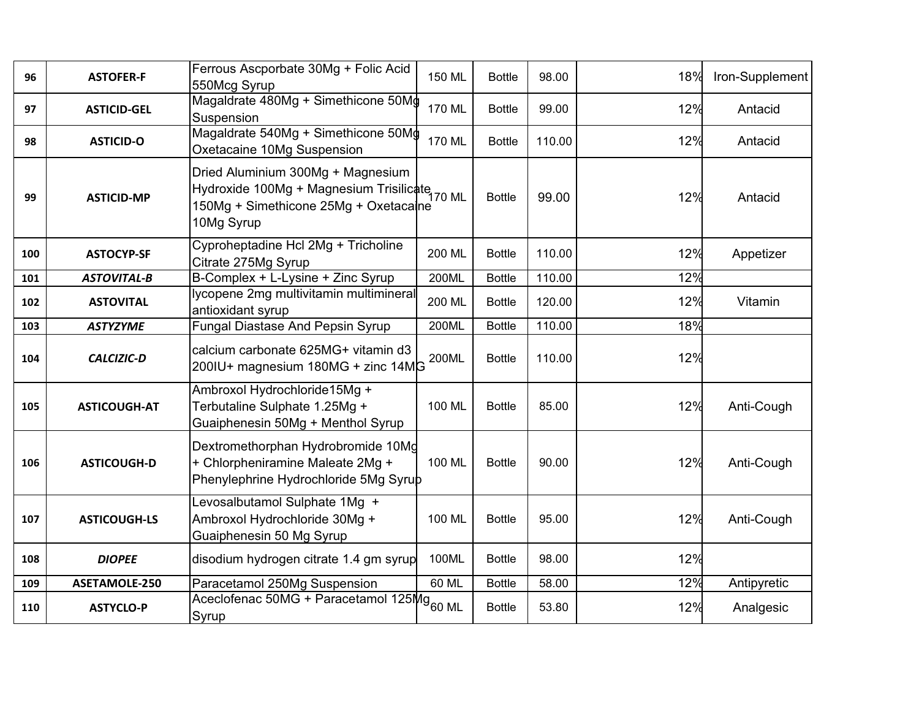| 96  | <b>ASTOFER-F</b>    | Ferrous Ascporbate 30Mg + Folic Acid<br>550Mcg Syrup                                                                                          | 150 ML        | <b>Bottle</b> | 98.00  | 18% | Iron-Supplement |
|-----|---------------------|-----------------------------------------------------------------------------------------------------------------------------------------------|---------------|---------------|--------|-----|-----------------|
| 97  | <b>ASTICID-GEL</b>  | Magaldrate 480Mg + Simethicone 50Mg<br>Suspension                                                                                             | <b>170 ML</b> | <b>Bottle</b> | 99.00  | 12% | Antacid         |
| 98  | <b>ASTICID-O</b>    | Magaldrate 540Mg + Simethicone 50Mg<br>Oxetacaine 10Mg Suspension                                                                             | 170 ML        | <b>Bottle</b> | 110.00 | 12% | Antacid         |
| 99  | <b>ASTICID-MP</b>   | Dried Aluminium 300Mg + Magnesium<br>Hydroxide 100Mg + Magnesium Trisilicate<br>170 ML<br>150Mg + Simethicone 25Mg + Oxetacaine<br>10Mg Syrup |               | <b>Bottle</b> | 99.00  | 12% | Antacid         |
| 100 | <b>ASTOCYP-SF</b>   | Cyproheptadine Hcl 2Mg + Tricholine<br>Citrate 275Mg Syrup                                                                                    | 200 ML        | <b>Bottle</b> | 110.00 | 12% | Appetizer       |
| 101 | <b>ASTOVITAL-B</b>  | B-Complex + L-Lysine + Zinc Syrup                                                                                                             | 200ML         | <b>Bottle</b> | 110.00 | 12% |                 |
| 102 | <b>ASTOVITAL</b>    | lycopene 2mg multivitamin multimineral<br>antioxidant syrup                                                                                   | 200 ML        | <b>Bottle</b> | 120.00 | 12% | Vitamin         |
| 103 | <b>ASTYZYME</b>     | <b>Fungal Diastase And Pepsin Syrup</b>                                                                                                       | 200ML         | <b>Bottle</b> | 110.00 | 18% |                 |
| 104 | <b>CALCIZIC-D</b>   | calcium carbonate 625MG+ vitamin d3<br>200IU+ magnesium 180MG + zinc 14MG                                                                     | 200ML         | <b>Bottle</b> | 110.00 | 12% |                 |
| 105 | <b>ASTICOUGH-AT</b> | Ambroxol Hydrochloride15Mg +<br>Terbutaline Sulphate 1.25Mg +<br>Guaiphenesin 50Mg + Menthol Syrup                                            | 100 ML        | <b>Bottle</b> | 85.00  | 12% | Anti-Cough      |
| 106 | <b>ASTICOUGH-D</b>  | Dextromethorphan Hydrobromide 10Mg<br>+ Chlorpheniramine Maleate 2Mg +<br>Phenylephrine Hydrochloride 5Mg Syrup                               | 100 ML        | <b>Bottle</b> | 90.00  | 12% | Anti-Cough      |
| 107 | <b>ASTICOUGH-LS</b> | Levosalbutamol Sulphate 1Mg +<br>Ambroxol Hydrochloride 30Mg +<br>Guaiphenesin 50 Mg Syrup                                                    | 100 ML        | <b>Bottle</b> | 95.00  | 12% | Anti-Cough      |
| 108 | <b>DIOPEE</b>       | disodium hydrogen citrate 1.4 gm syrup                                                                                                        | 100ML         | <b>Bottle</b> | 98.00  | 12% |                 |
| 109 | ASETAMOLE-250       | Paracetamol 250Mg Suspension                                                                                                                  | 60 ML         | <b>Bottle</b> | 58.00  | 12% | Antipyretic     |
| 110 | <b>ASTYCLO-P</b>    | Aceclofenac 50MG + Paracetamol 125Mg <sub>60 ML</sub><br>Syrup                                                                                |               | <b>Bottle</b> | 53.80  | 12% | Analgesic       |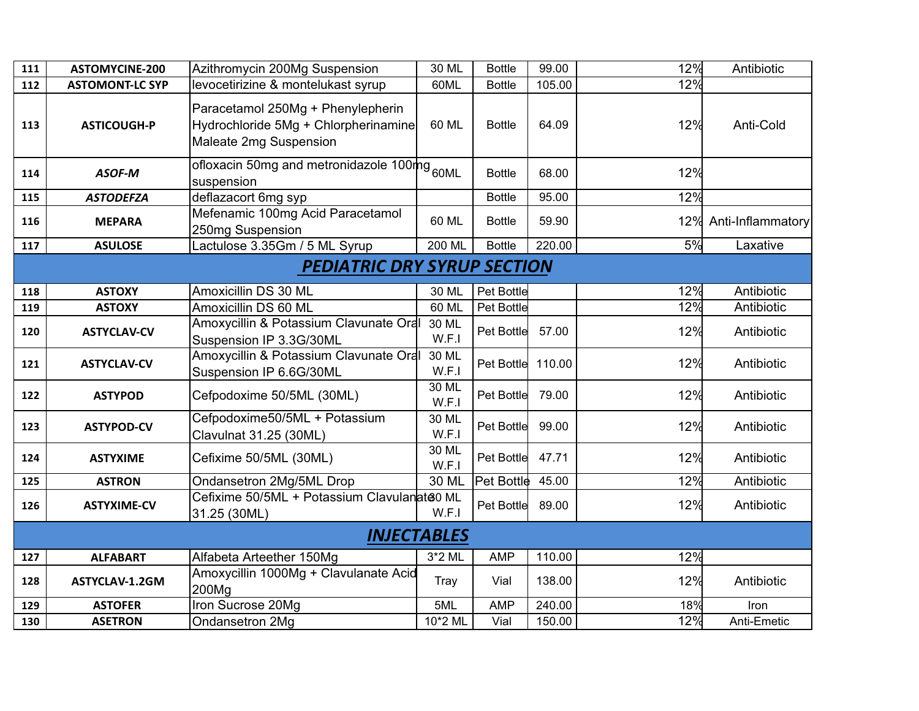| 111 | <b>ASTOMYCINE-200</b>  | Azithromycin 200Mg Suspension                                                                       | 30 ML              | <b>Bottle</b>     | 99.00  | 12% | Antibiotic        |
|-----|------------------------|-----------------------------------------------------------------------------------------------------|--------------------|-------------------|--------|-----|-------------------|
| 112 | <b>ASTOMONT-LC SYP</b> | levocetirizine & montelukast syrup                                                                  | 60ML               | <b>Bottle</b>     | 105.00 | 12% |                   |
| 113 | <b>ASTICOUGH-P</b>     | Paracetamol 250Mg + Phenylepherin<br>Hydrochloride 5Mg + Chlorpherinamine<br>Maleate 2mg Suspension | 60 ML              | <b>Bottle</b>     | 64.09  | 12% | Anti-Cold         |
| 114 | ASOF-M                 | ofloxacin 50mg and metronidazole 100mg <sub>60ML</sub><br>suspension                                |                    | <b>Bottle</b>     | 68.00  | 12% |                   |
| 115 | <b>ASTODEFZA</b>       | deflazacort 6mg syp                                                                                 |                    | <b>Bottle</b>     | 95.00  | 12% |                   |
| 116 | <b>MEPARA</b>          | Mefenamic 100mg Acid Paracetamol<br>250mg Suspension                                                | 60 ML              | <b>Bottle</b>     | 59.90  | 12% | Anti-Inflammatory |
| 117 | <b>ASULOSE</b>         | Lactulose 3.35Gm / 5 ML Syrup                                                                       | $200$ ML           | <b>Bottle</b>     | 220.00 | 5%  | Laxative          |
|     |                        | <b>PEDIATRIC DRY SYRUP SECTION</b>                                                                  |                    |                   |        |     |                   |
| 118 | <b>ASTOXY</b>          | Amoxicillin DS 30 ML                                                                                | 30 ML              | Pet Bottle        |        | 12% | Antibiotic        |
| 119 | <b>ASTOXY</b>          | Amoxicillin DS 60 ML                                                                                | 60 ML              | Pet Bottle        |        | 12% | Antibiotic        |
| 120 | <b>ASTYCLAV-CV</b>     | Amoxycillin & Potassium Clavunate Oral<br>Suspension IP 3.3G/30ML                                   | 30 ML<br>W.F.I     | Pet Bottle        | 57.00  | 12% | Antibiotic        |
| 121 | <b>ASTYCLAV-CV</b>     | Amoxycillin & Potassium Clavunate Oral<br>Suspension IP 6.6G/30ML                                   | 30 ML<br>W.F.I     | <b>Pet Bottle</b> | 110.00 | 12% | Antibiotic        |
| 122 | <b>ASTYPOD</b>         | Cefpodoxime 50/5ML (30ML)                                                                           | 30 ML<br>W.F.I     | Pet Bottle        | 79.00  | 12% | Antibiotic        |
| 123 | <b>ASTYPOD-CV</b>      | Cefpodoxime50/5ML + Potassium<br>Clavulnat 31.25 (30ML)                                             | 30 ML<br>W.F.I     | Pet Bottle        | 99.00  | 12% | Antibiotic        |
| 124 | <b>ASTYXIME</b>        | Cefixime 50/5ML (30ML)                                                                              | 30 ML<br>W.F.I     | Pet Bottle        | 47.71  | 12% | Antibiotic        |
| 125 | <b>ASTRON</b>          | Ondansetron 2Mg/5ML Drop                                                                            | 30 ML              | Pet Bottle        | 45.00  | 12% | Antibiotic        |
| 126 | <b>ASTYXIME-CV</b>     | Cefixime 50/5ML + Potassium Clavulanate0 ML<br>31.25 (30ML)                                         | W.F.I              | Pet Bottle        | 89.00  | 12% | Antibiotic        |
|     |                        |                                                                                                     | <b>INJECTABLES</b> |                   |        |     |                   |
| 127 | <b>ALFABART</b>        | Alfabeta Arteether 150Mg                                                                            | 3*2 ML             | <b>AMP</b>        | 110.00 | 12% |                   |
| 128 | ASTYCLAV-1.2GM         | Amoxycillin 1000Mg + Clavulanate Acid<br>200Mg                                                      | Tray               | Vial              | 138.00 | 12% | Antibiotic        |
| 129 | <b>ASTOFER</b>         | Iron Sucrose 20Mg                                                                                   | 5ML                | <b>AMP</b>        | 240.00 | 18% | Iron              |
| 130 | <b>ASETRON</b>         | Ondansetron 2Mg                                                                                     | 10*2 ML            | Vial              | 150.00 | 12% | Anti-Emetic       |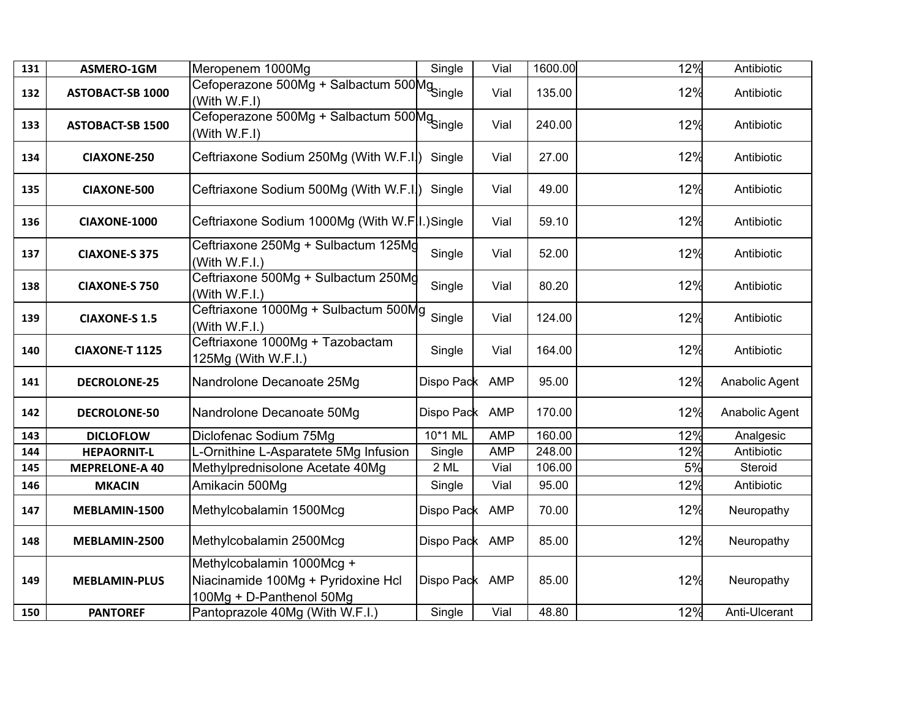| 131 | ASMERO-1GM              | Meropenem 1000Mg                                                                             | Single         | Vial       | 1600.00 | 12% | Antibiotic     |
|-----|-------------------------|----------------------------------------------------------------------------------------------|----------------|------------|---------|-----|----------------|
| 132 | <b>ASTOBACT-SB 1000</b> | Meroponom Toolom<br>Cefoperazone 500Mg + Salbactum 500Mg<br>(With W.F.I)                     |                | Vial       | 135.00  | 12% | Antibiotic     |
| 133 | <b>ASTOBACT-SB 1500</b> | Cefoperazone 500Mg + Salbactum 500Mg<br>Cefoperazone 500Mg + Salbactum 500Mg<br>(With W.F.I) |                | Vial       | 240.00  | 12% | Antibiotic     |
| 134 | <b>CIAXONE-250</b>      | Ceftriaxone Sodium 250Mg (With W.F.I.)                                                       | Single         | Vial       | 27.00   | 12% | Antibiotic     |
| 135 | <b>CIAXONE-500</b>      | Ceftriaxone Sodium 500Mg (With W.F.I.)                                                       | Single         | Vial       | 49.00   | 12% | Antibiotic     |
| 136 | CIAXONE-1000            | Ceftriaxone Sodium 1000Mg (With W.F I.)Single                                                |                | Vial       | 59.10   | 12% | Antibiotic     |
| 137 | <b>CIAXONE-S 375</b>    | Ceftriaxone 250Mg + Sulbactum 125Mg<br>(With W.F.I.)                                         | Single         | Vial       | 52.00   | 12% | Antibiotic     |
| 138 | <b>CIAXONE-S 750</b>    | Ceftriaxone 500Mg + Sulbactum 250Mg<br>(With W.F.I.)                                         | Single         | Vial       | 80.20   | 12% | Antibiotic     |
| 139 | <b>CIAXONE-S 1.5</b>    | Ceftriaxone 1000Mg + Sulbactum 500Mg<br>(With W.F.I.)                                        | Single         | Vial       | 124.00  | 12% | Antibiotic     |
| 140 | <b>CIAXONE-T 1125</b>   | Ceftriaxone 1000Mg + Tazobactam<br>125Mg (With W.F.I.)                                       | Single         | Vial       | 164.00  | 12% | Antibiotic     |
| 141 | <b>DECROLONE-25</b>     | Nandrolone Decanoate 25Mg                                                                    | Dispo Pack     | <b>AMP</b> | 95.00   | 12% | Anabolic Agent |
| 142 | <b>DECROLONE-50</b>     | Nandrolone Decanoate 50Mg                                                                    | Dispo Pack     | AMP        | 170.00  | 12% | Anabolic Agent |
| 143 | <b>DICLOFLOW</b>        | Diclofenac Sodium 75Mg                                                                       | 10*1 ML        | <b>AMP</b> | 160.00  | 12% | Analgesic      |
| 144 | <b>HEPAORNIT-L</b>      | L-Ornithine L-Asparatete 5Mg Infusion                                                        | Single         | <b>AMP</b> | 248.00  | 12% | Antibiotic     |
| 145 | <b>MEPRELONE-A 40</b>   | Methylprednisolone Acetate 40Mg                                                              | 2 ML           | Vial       | 106.00  | 5%  | Steroid        |
| 146 | <b>MKACIN</b>           | Amikacin 500Mg                                                                               | Single         | Vial       | 95.00   | 12% | Antibiotic     |
| 147 | MEBLAMIN-1500           | Methylcobalamin 1500Mcg                                                                      | Dispo Pack     | <b>AMP</b> | 70.00   | 12% | Neuropathy     |
| 148 | MEBLAMIN-2500           | Methylcobalamin 2500Mcg                                                                      | Dispo Pack     | <b>AMP</b> | 85.00   | 12% | Neuropathy     |
| 149 | <b>MEBLAMIN-PLUS</b>    | Methylcobalamin 1000Mcg +<br>Niacinamide 100Mg + Pyridoxine Hcl<br>100Mg + D-Panthenol 50Mg  | Dispo Pack AMP |            | 85.00   | 12% | Neuropathy     |
| 150 | <b>PANTOREF</b>         | Pantoprazole 40Mg (With W.F.I.)                                                              | Single         | Vial       | 48.80   | 12% | Anti-Ulcerant  |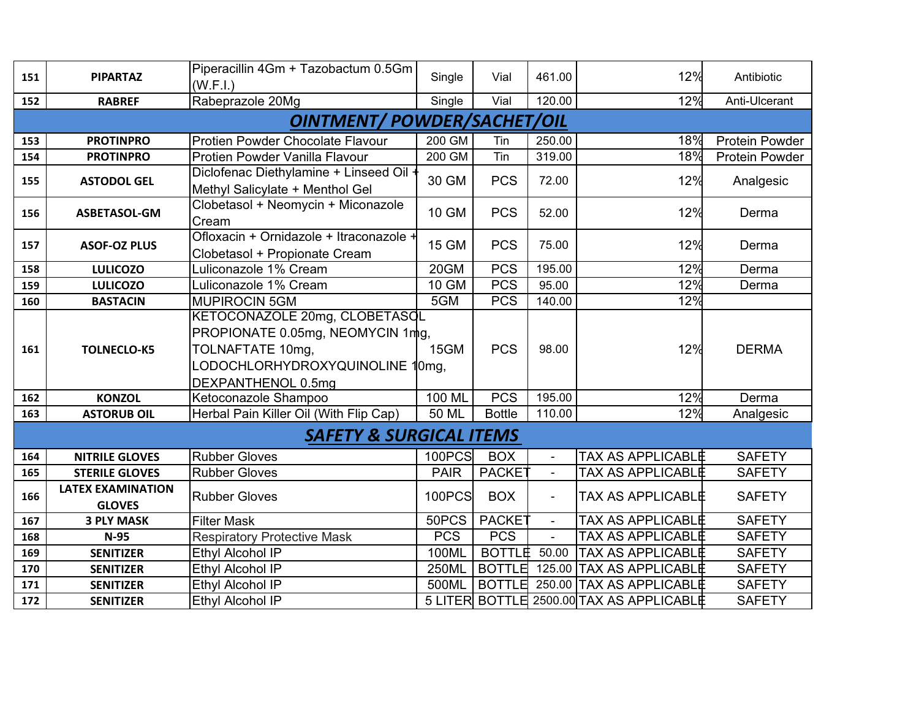| 151 | <b>PIPARTAZ</b>                           | Piperacillin 4Gm + Tazobactum 0.5Gm<br>(W.F.I.)                                                                                          | Single       | Vial               | 461.00                   | 12%                                      | Antibiotic            |
|-----|-------------------------------------------|------------------------------------------------------------------------------------------------------------------------------------------|--------------|--------------------|--------------------------|------------------------------------------|-----------------------|
| 152 | <b>RABREF</b>                             | Rabeprazole 20Mg                                                                                                                         | Single       | Vial               | 120.00                   | 12%                                      | Anti-Ulcerant         |
|     |                                           | <b>OINTMENT/ POWDER/SACHET/OIL</b>                                                                                                       |              |                    |                          |                                          |                       |
|     |                                           |                                                                                                                                          |              |                    |                          |                                          |                       |
| 153 | <b>PROTINPRO</b>                          | Protien Powder Chocolate Flavour                                                                                                         | 200 GM       | Tin                | 250.00                   | 18%                                      | Protein Powder        |
| 154 | <b>PROTINPRO</b>                          | Protien Powder Vanilla Flavour                                                                                                           | 200 GM       | Tin                | 319.00                   | 18%                                      | <b>Protein Powder</b> |
| 155 | <b>ASTODOL GEL</b>                        | Diclofenac Diethylamine + Linseed Oil<br>Methyl Salicylate + Menthol Gel                                                                 | 30 GM        | <b>PCS</b>         | 72.00                    | 12%                                      | Analgesic             |
| 156 | ASBETASOL-GM                              | Clobetasol + Neomycin + Miconazole<br>Cream                                                                                              | 10 GM        | <b>PCS</b>         | 52.00                    | 12%                                      | Derma                 |
| 157 | <b>ASOF-OZ PLUS</b>                       | Ofloxacin + Ornidazole + Itraconazole +<br>Clobetasol + Propionate Cream                                                                 | 15 GM        | <b>PCS</b>         | 75.00                    | 12%                                      | Derma                 |
| 158 | <b>LULICOZO</b>                           | Luliconazole 1% Cream                                                                                                                    | 20GM         | <b>PCS</b>         | 195.00                   | 12%                                      | Derma                 |
| 159 | <b>LULICOZO</b>                           | Luliconazole 1% Cream                                                                                                                    | <b>10 GM</b> | <b>PCS</b>         | 95.00                    | 12%                                      | Derma                 |
| 160 | <b>BASTACIN</b>                           | <b>MUPIROCIN 5GM</b>                                                                                                                     | 5GM          | <b>PCS</b>         | 140.00                   | 12%                                      |                       |
| 161 | <b>TOLNECLO-K5</b>                        | KETOCONAZOLE 20mg, CLOBETASQL<br>PROPIONATE 0.05mg, NEOMYCIN 1mg,<br>TOLNAFTATE 10mg,<br>LODOCHLORHYDROXYQUINOLINE<br>DEXPANTHENOL 0.5mg | 15GM<br>0mg, | <b>PCS</b>         | 98.00                    | 12%                                      | <b>DERMA</b>          |
| 162 | <b>KONZOL</b>                             | Ketoconazole Shampoo                                                                                                                     | 100 ML       | <b>PCS</b>         | 195.00                   | 12%                                      | Derma                 |
| 163 | <b>ASTORUB OIL</b>                        | Herbal Pain Killer Oil (With Flip Cap)                                                                                                   | 50 ML        | <b>Bottle</b>      | 110.00                   | 12%                                      | Analgesic             |
|     |                                           | <b>SAFETY &amp; SURGICAL ITEMS</b>                                                                                                       |              |                    |                          |                                          |                       |
| 164 | <b>NITRILE GLOVES</b>                     | <b>Rubber Gloves</b>                                                                                                                     | 100PCS       | <b>BOX</b>         | $\blacksquare$           | <b>TAX AS APPLICABLE</b>                 | <b>SAFETY</b>         |
| 165 | <b>STERILE GLOVES</b>                     | <b>Rubber Gloves</b>                                                                                                                     | <b>PAIR</b>  | <b>PACKET</b>      | $\overline{\phantom{a}}$ | <b>TAX AS APPLICABLE</b>                 | <b>SAFETY</b>         |
| 166 | <b>LATEX EXAMINATION</b><br><b>GLOVES</b> | <b>Rubber Gloves</b>                                                                                                                     | 100PCS       | <b>BOX</b>         | $\overline{\phantom{a}}$ | <b>TAX AS APPLICABLE</b>                 | <b>SAFETY</b>         |
| 167 | <b>3 PLY MASK</b>                         | <b>Filter Mask</b>                                                                                                                       | 50PCS        | PACKE <sup>-</sup> | $\blacksquare$           | <b>TAX AS APPLICABLE</b>                 | <b>SAFETY</b>         |
| 168 | $N-95$                                    | <b>Respiratory Protective Mask</b>                                                                                                       | <b>PCS</b>   | <b>PCS</b>         |                          | <b>TAX AS APPLICABLE</b>                 | <b>SAFETY</b>         |
| 169 | <b>SENITIZER</b>                          | Ethyl Alcohol IP                                                                                                                         | 100ML        | <b>BOTTLE</b>      | 50.00                    | <b>TAX AS APPLICABLE</b>                 | <b>SAFETY</b>         |
| 170 | <b>SENITIZER</b>                          | Ethyl Alcohol IP                                                                                                                         | <b>250ML</b> | <b>BOTTLE</b>      | 125.00                   | <b>TAX AS APPLICABLE</b>                 | <b>SAFETY</b>         |
| 171 | <b>SENITIZER</b>                          | Ethyl Alcohol IP                                                                                                                         | 500ML        | <b>BOTTLE</b>      |                          | 250.00 TAX AS APPLICABLE                 | <b>SAFETY</b>         |
| 172 | <b>SENITIZER</b>                          | Ethyl Alcohol IP                                                                                                                         |              |                    |                          | 5 LITER BOTTLE 2500.00 TAX AS APPLICABLE | <b>SAFETY</b>         |